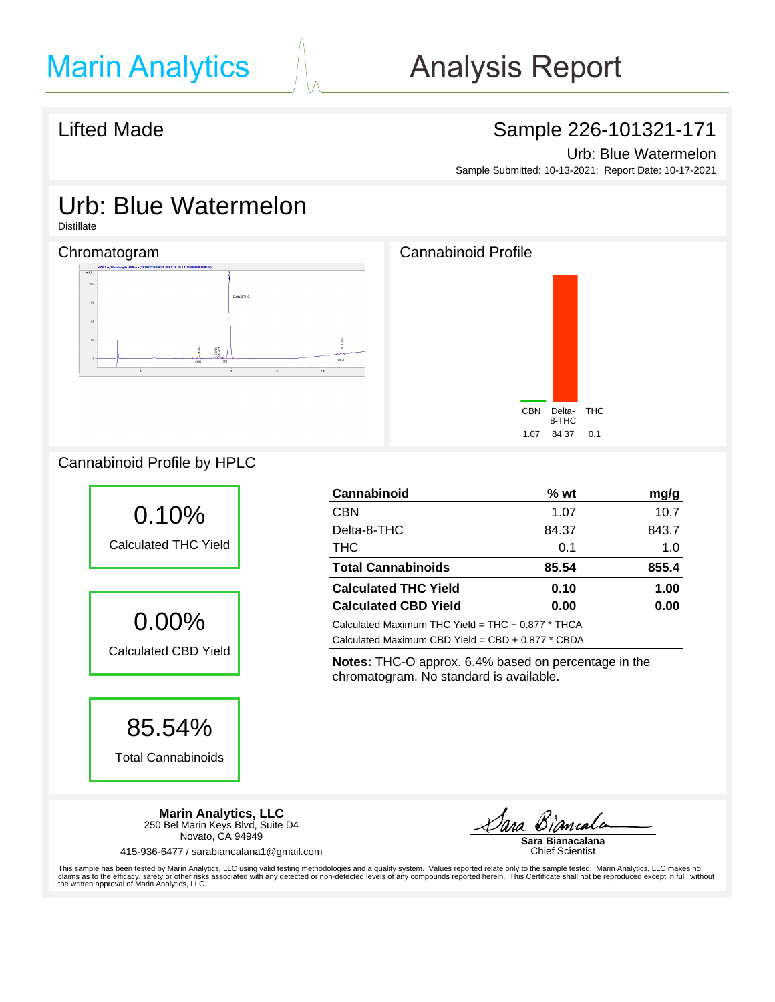## Lifted Made **Sample 226-101321-171**

Urb: Blue Watermelon

Sample Submitted: 10-13-2021; Report Date: 10-17-2021

# Urb: Blue Watermelon

Distillate

## Chromatogram Chromatogram Chromatogram Chromatogram Cannabinoid Profile







## Cannabinoid Profile by HPLC



85.54%

Total Cannabinoids

| Cannabinoid                                         | $%$ wt | mg/g  |
|-----------------------------------------------------|--------|-------|
| <b>CBN</b>                                          | 1.07   | 10.7  |
| Delta-8-THC                                         | 84.37  | 843.7 |
| <b>THC</b>                                          | 0.1    | 1.0   |
| <b>Total Cannabinoids</b>                           | 85.54  | 855.4 |
| <b>Calculated THC Yield</b>                         | 0.10   | 1.00  |
| <b>Calculated CBD Yield</b>                         | 0.00   | 0.00  |
| Calculated Maximum THC Yield = $THC + 0.877$ * THCA |        |       |
| Calculated Maximum CBD Yield = $CBD + 0.877 * CBDA$ |        |       |

**Notes:** THC-O approx. 6.4% based on percentage in the chromatogram. No standard is available.

**Marin Analytics, LLC** 250 Bel Marin Keys Blvd, Suite D4 Novato, CA 94949

415-936-6477 / sarabiancalana1@gmail.com

**Sara Bianacalana**

Chief Scientist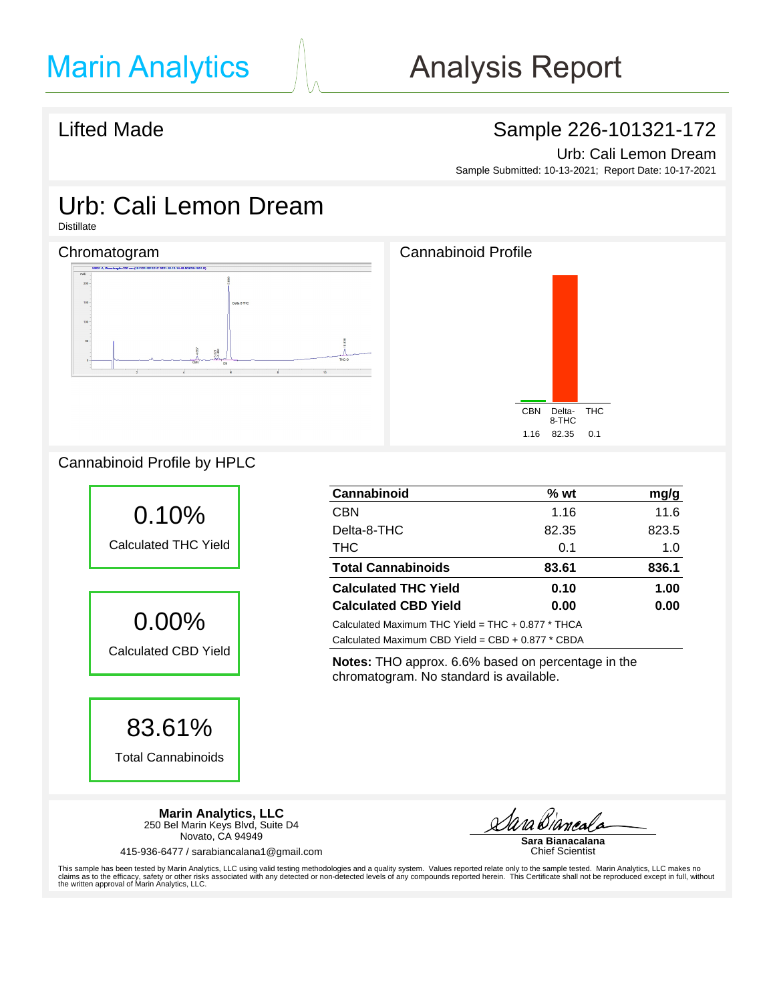## Lifted Made **Sample 226-101321-172**

Urb: Cali Lemon Dream

Sample Submitted: 10-13-2021; Report Date: 10-17-2021

# Urb: Cali Lemon Dream

Distillate

### Chromatogram Chromatogram Chromatogram Cannabinoid Profile





## Cannabinoid Profile by HPLC



83.61%

Total Cannabinoids

**Cannabinoid % wt mg/g** CBN 1.16 11.6 Delta-8-THC 82.35 823.5 THC 1.0 **Total Cannabinoids 83.61 836.1 Calculated THC Yield 0.10 1.00 Calculated CBD Yield 0.00 0.00** Calculated Maximum THC Yield = THC + 0.877 \* THCA Calculated Maximum CBD Yield = CBD + 0.877 \* CBDA

**Notes:** THO approx. 6.6% based on percentage in the chromatogram. No standard is available.

**Marin Analytics, LLC** 250 Bel Marin Keys Blvd, Suite D4 Novato, CA 94949

415-936-6477 / sarabiancalana1@gmail.com

<u>Aara Bianca</u>

**Sara Bianacalana** Chief Scientist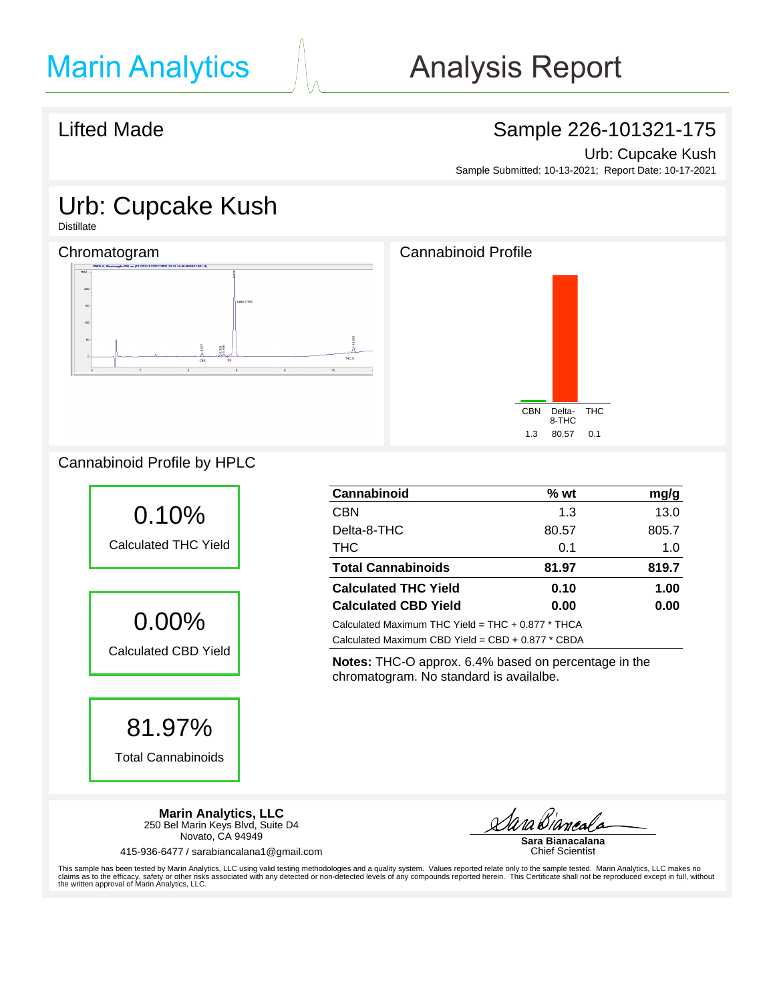## Lifted Made **Sample 226-101321-175**

Urb: Cupcake Kush Sample Submitted: 10-13-2021; Report Date: 10-17-2021

# Urb: Cupcake Kush

**Distillate** 

## Chromatogram Chromatogram Chromatogram Chromatogram Cannabinoid Profile





## Cannabinoid Profile by HPLC



81.97%

Total Cannabinoids



**Notes:** THC-O approx. 6.4% based on percentage in the chromatogram. No standard is availalbe.

**Marin Analytics, LLC** 250 Bel Marin Keys Blvd, Suite D4 Novato, CA 94949

415-936-6477 / sarabiancalana1@gmail.com

<u>Aara Bianci</u>

**Sara Bianacalana** Chief Scientist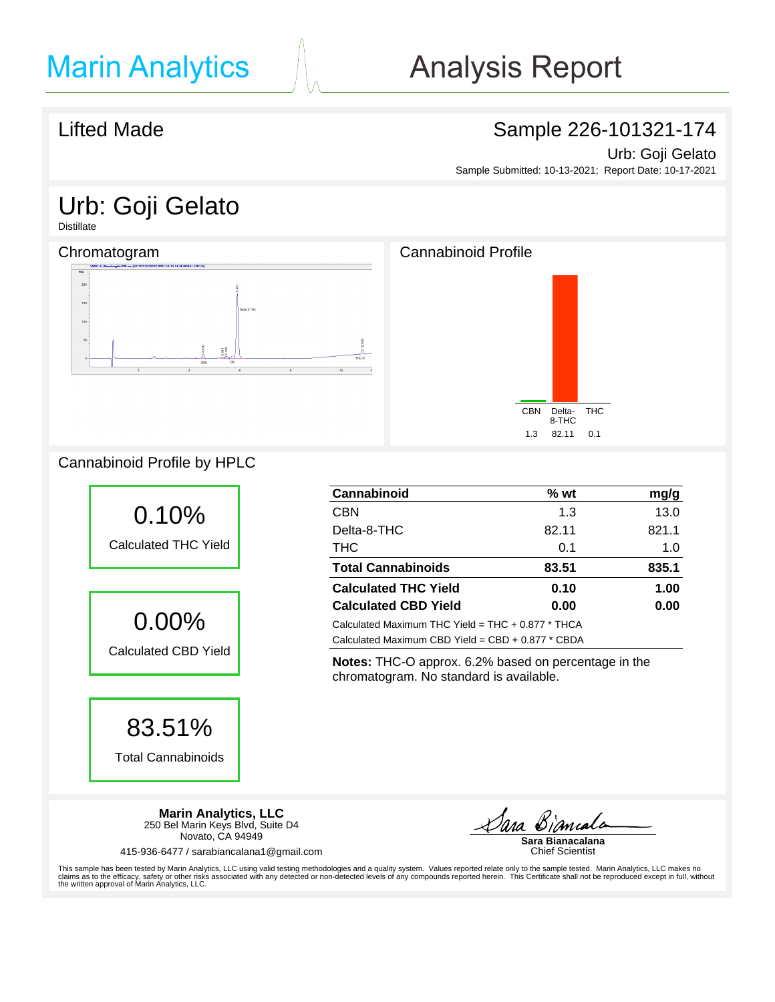## Lifted Made **Sample 226-101321-174**

Urb: Goji Gelato

Sample Submitted: 10-13-2021; Report Date: 10-17-2021

# Urb: Goji Gelato

**Distillate** 

## Chromatogram Chromatogram Chromatogram Chromatogram Cannabinoid Profile





### CBN Delta-8-THC 1.3 82.11 0.1

## Cannabinoid Profile by HPLC



83.51%

Total Cannabinoids

**Cannabinoid % wt mg/g** CBN 1.3 13.0 Delta-8-THC 82.11 821.1 THC 1.0 **Total Cannabinoids 83.51 835.1 Calculated THC Yield 0.10 1.00 Calculated CBD Yield 0.00 0.00** Calculated Maximum THC Yield = THC + 0.877 \* THCA Calculated Maximum CBD Yield = CBD + 0.877 \* CBDA

**Notes:** THC-O approx. 6.2% based on percentage in the chromatogram. No standard is available.

**Marin Analytics, LLC** 250 Bel Marin Keys Blvd, Suite D4 Novato, CA 94949

415-936-6477 / sarabiancalana1@gmail.com

<u>Dara Biamal</u>

**Sara Bianacalana** Chief Scientist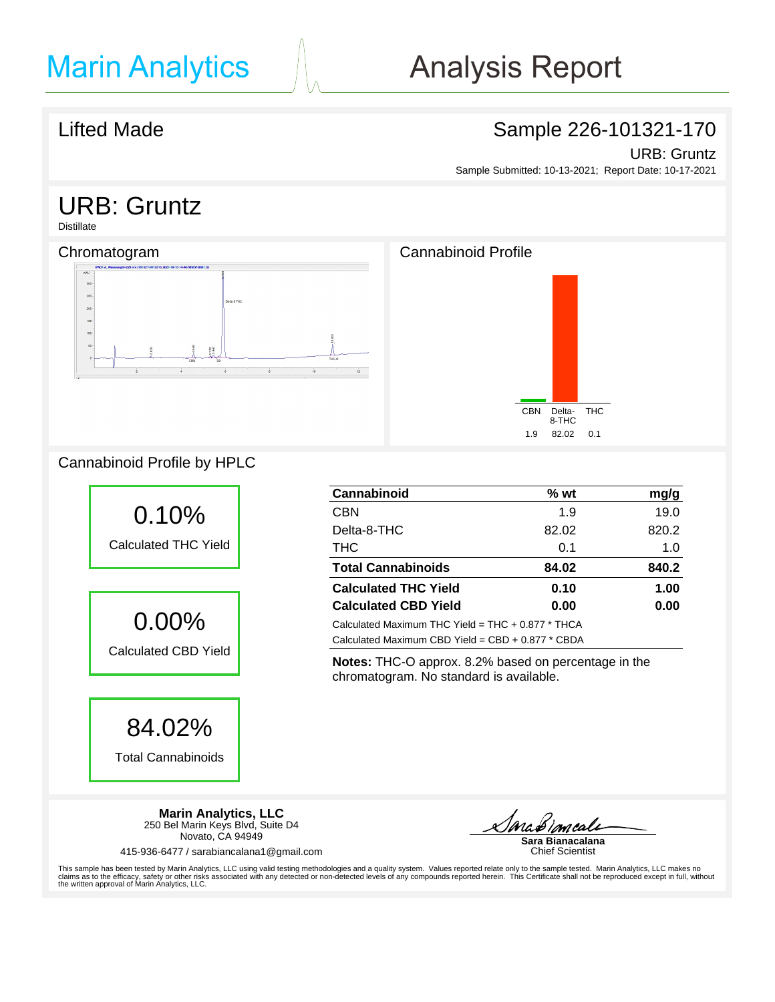## Lifted Made **Sample 226-101321-170**

### URB: Gruntz

Sample Submitted: 10-13-2021; Report Date: 10-17-2021

# URB: Gruntz

Distillate

## Chromatogram Chromatogram Chromatogram Cannabinoid Profile





## Cannabinoid Profile by HPLC



| Cannabinoid                                         | $%$ wt | mg/g  |
|-----------------------------------------------------|--------|-------|
| <b>CBN</b>                                          | 1.9    | 19.0  |
| Delta-8-THC                                         | 82.02  | 820.2 |
| <b>THC</b>                                          | 0.1    | 1.0   |
| <b>Total Cannabinoids</b>                           | 84.02  | 840.2 |
| <b>Calculated THC Yield</b>                         | 0.10   | 1.00  |
| <b>Calculated CBD Yield</b>                         | 0.00   | 0.00  |
| Calculated Maximum THC Yield = $THC + 0.877 * THCA$ |        |       |
| Calculated Maximum CBD Yield = $CBD + 0.877 * CBDA$ |        |       |

**Notes:** THC-O approx. 8.2% based on percentage in the chromatogram. No standard is available.

**Marin Analytics, LLC** 250 Bel Marin Keys Blvd, Suite D4 Novato, CA 94949

415-936-6477 / sarabiancalana1@gmail.com

**Sara Bianacalana** Chief Scientist